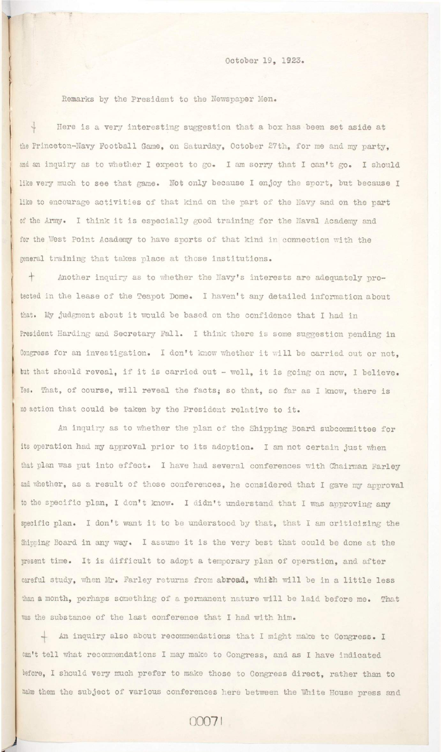October 19, 1923.

Remarks by the President to the Newspaper Men.

Here is a very interesting suggestion that a box has been set aside at the Princeton-Navy Football Game, on Saturday, October 27th, for me and my party. and an inquiry as to whether I expect to go. I am sorry that I can't go. I should like very much to see that game. Not only because I enjoy the sport, but because I like to encourage activities of that kind on the part of the Navy and on the part of the Army. I think it is especially good training for the Naval Academy and for the West Point Academy to have sports of that kind in connection with the general training that takes place at those institutions.

+ Another inquiry as to whether the Navy's interests are adequately protected in the lease of the Teapot Dome. I haven't any detailed information about that. My judgment about it would be based on the confidence that I had in President Harding and Secretary Fall. I think there is some suggestion pending in Congress for an investigation. I don't know whether it will be carried out or not, but that should reveal, if it is carried out - well, it is going on now, I believe. Yes. That, of course, will reveal the facts; so that, so far as I know, there is no action that could be taken by the President relative to it.

An inquiry as to whether the plan of the Shipping Board subcommittee for its operation had my approval prior to its adoption. I am not certain just when that plan was put into effect. I have had several conferences with Chairman Farley and whether, as a result of those conferences, he considered that I gave my approval to the specific plan, I don't know. I didn't understand that I was approving any specific plan. I don't want it to be understood by that, that I am criticizing the Shipping Board in any way. I assume it is the very best that could be done at the present time. It is difficult to adopt a temporary plan of operation, and after

careful study, when Mr. Farley returns from abroad, which will be in a little less than a month, perhaps something of a permanent nature will be laid before me. That was the substance of the last conference that I had with him. An inquiry also about recommendations that I might make to Congress. I can't tell what recommendations I may make to Congress, and as I have indicated before, I should very much prefer to make those to Congress direct, rather than to make them the subject of various conferences here between the White House press and

## 00071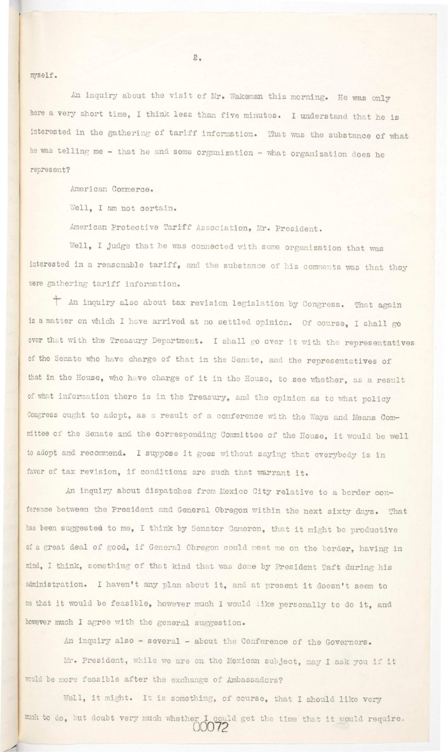**myself.** 

An inquiry about the visit of Mr. Wakeman this morning. He was only here a very short time, I think less than five minutes. I understand that he is interested in the gathering of tariff information. That was the substance of what he was telling me - that he and some organization - what organization does he represent?

American Commerce.

Well, I am not certain.

American Protective Tariff Association, Mr. President.

Well, I judge that he was connected with some organization that was interested in a reasonable tariff, and the substance of his comments was that they were gathering tariff information.

" An inquiry also about tax revision legislation by Congress. That again is a matter on which I have arrived at no settled opinion. Of course, I shall go over that with the Treasury Department. I shall go over it with the representatives of the Senate who have charge of that in the Senate, and the representatives of that in the House, who have charge of it in the House, to see whether, as a result of what information there is in the Treasury, and the opinion as to what policy Congress ought to adopt, as a result of a conference with the Ways and Means Committee of the Senate and the Corresponding Committee of the House, it would be well to adopt and recommend. I suppose it goes without saying that everybody is in favor of tax revision, if conditions are such that warrant it.

An inquiry about dispatches from Mexico City relative to a border conference between the President and General Obregon within the next sixty days. That has been suggested to me, I think by Senator Cameron, that it might be productive of a great deal of good, if General Obregon could meet me on the border, having in mind, I think, something of that kind that was done by President Taft during his

 $2.$ 

administration. I haven't any plan about it, and at present it doesn't seem to me that it would be feasible, however much I would like personally to do it, and however much I agree with the general suggestion. An inquiry also - several - about the Conference of the Governors. Mr. President, while we are on the Mexican subject, may I ask you if it would be more feasible after the exchange of Ambassadors? Well, it might. It is something, of course, that I should like very much to do, but doubt very much whether I could get the time that it would require. **00072**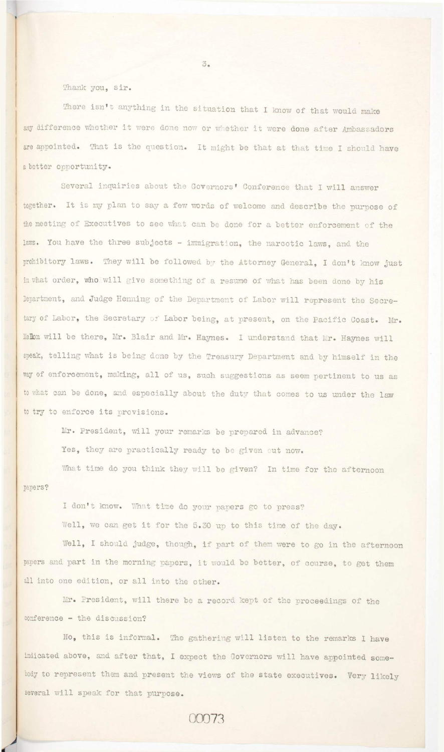## Thank you. sir.

There isn't anything in the situation that I know of that would make any difference whether it were done now or whether it were done after Ambassadors are appointed. That is the question. It might be that at that time I should have a better opportunity.

Several inquiries about the Governors' Conference that I will answer together. It is my plan to say a few words of welcome and describe the purpose of the meeting of Executives to see what can be done for a better enforcement of the laws. You have the three subjects - immigration, the narcotic laws, and the prohibitory laws. They will be followed by the Attorney General, I don't know just in what order, who will give something of a resume of what has been done by his Department, and Judge Henning of the Department of Labor will represent the Secretary of Labor, the Secretary of Labor being, at present, on the Pacific Coast. Mr. Mellon will be there, Mr. Blair and Mr. Haynes. I understand that Mr. Haynes will speak, telling what is being done by the Treasury Department and by himself in the way of enforcement, making, all of us, such suggestions as seem pertinent to us as to what can be done, and especially about the duty that comes to us under the law to try to enforce its provisions.

Mr. President, will your remarks be prepared in advance? Yes, they are practically ready to be given out now. What time do you think they will be given? In time for the afternoon

I don't know. What time do your papers go to press? Well, we can get it for the 5.30 up to this time of the day.

Well, I should judge, though, if part of them were to go in the afternoon papers and part in the morning papers, it would be better, of course, to get them

 $3.5$ 

all into one edition, or all into the other.

Mr. President, will there be a record kept of the proceedings of the

conference - the discussion?

papers?

No, this is informal. The gathering will listen to the remarks I have indicated above, and after that, I expect the Governors will have appointed somebody to represent them and present the views of the state executives. Very likely several will speak for that purpose.

00073